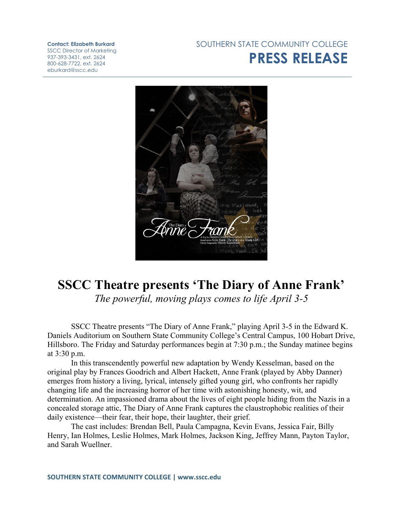## **Contact: Elizabeth Burkard**

SSCC Director of Marketing 937-393-3431, ext. 2624 800-628-7722, ext. 2624 eburkard@sscc.edu

## SOUTHERN STATE COMMUNITY COLLEGE **PRESS RELEASE**



## **SSCC Theatre presents 'The Diary of Anne Frank'** *The powerful, moving plays comes to life April 3-5*

SSCC Theatre presents "The Diary of Anne Frank," playing April 3-5 in the Edward K. Daniels Auditorium on Southern State Community College's Central Campus, 100 Hobart Drive, Hillsboro. The Friday and Saturday performances begin at 7:30 p.m.; the Sunday matinee begins at 3:30 p.m.

In this transcendently powerful new adaptation by Wendy Kesselman, based on the original play by Frances Goodrich and Albert Hackett, Anne Frank (played by Abby Danner) emerges from history a living, lyrical, intensely gifted young girl, who confronts her rapidly changing life and the increasing horror of her time with astonishing honesty, wit, and determination. An impassioned drama about the lives of eight people hiding from the Nazis in a concealed storage attic, The Diary of Anne Frank captures the claustrophobic realities of their daily existence—their fear, their hope, their laughter, their grief.

The cast includes: Brendan Bell, Paula Campagna, Kevin Evans, Jessica Fair, Billy Henry, Ian Holmes, Leslie Holmes, Mark Holmes, Jackson King, Jeffrey Mann, Payton Taylor, and Sarah Wuellner.